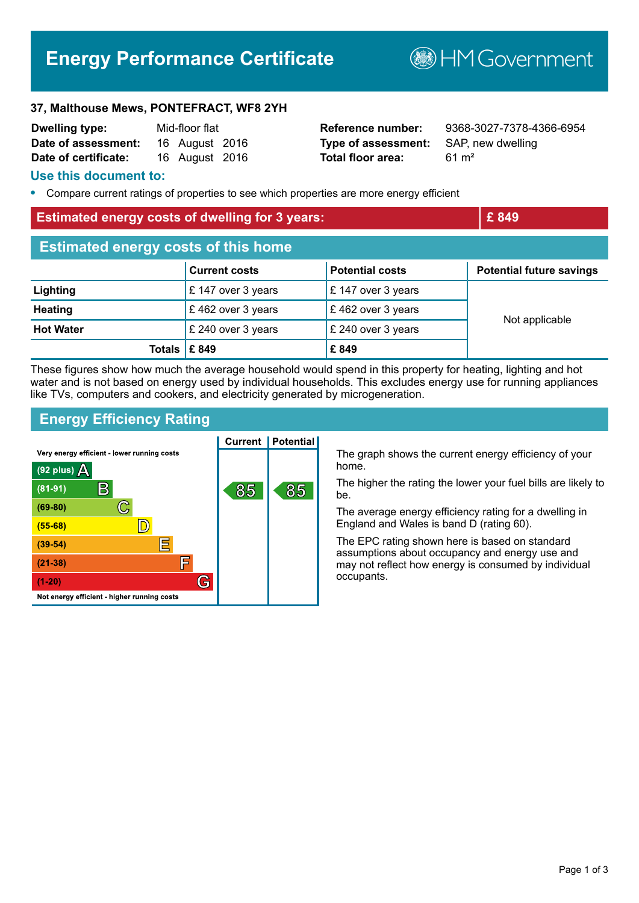# **Energy Performance Certificate**

**B**HMGovernment

#### **37, Malthouse Mews, PONTEFRACT, WF8 2YH**

| <b>Dwelling type:</b> | Mid-floor flat |                |  |
|-----------------------|----------------|----------------|--|
| Date of assessment:   |                | 16 August 2016 |  |
| Date of certificate:  |                | 16 August 2016 |  |

**Type of assessment:** SAP, new dwelling **Total floor area:** 61 m<sup>2</sup>

**Reference number:** 9368-3027-7378-4366-6954

#### **Use this document to:**

**•** Compare current ratings of properties to see which properties are more energy efficient

**Totals £ 849 £ 849**

## **Estimated energy costs of dwelling for 3 years: EXEC 2008 EXEC 249 Estimated energy costs of this home Current costs Potential costs Potential future savings Lighting E** 147 over 3 years **E** 147 over 3 years **Heating** E 462 over 3 years **E** 462 over 3 years **Hot Water E** 240 over 3 years **E** 240 over 3 years Not applicable

These figures show how much the average household would spend in this property for heating, lighting and hot water and is not based on energy used by individual households. This excludes energy use for running appliances like TVs, computers and cookers, and electricity generated by microgeneration.

#### **Energy Efficiency Rating**



The graph shows the current energy efficiency of your home.

The higher the rating the lower your fuel bills are likely to be.

The average energy efficiency rating for a dwelling in England and Wales is band D (rating 60).

The EPC rating shown here is based on standard assumptions about occupancy and energy use and may not reflect how energy is consumed by individual occupants.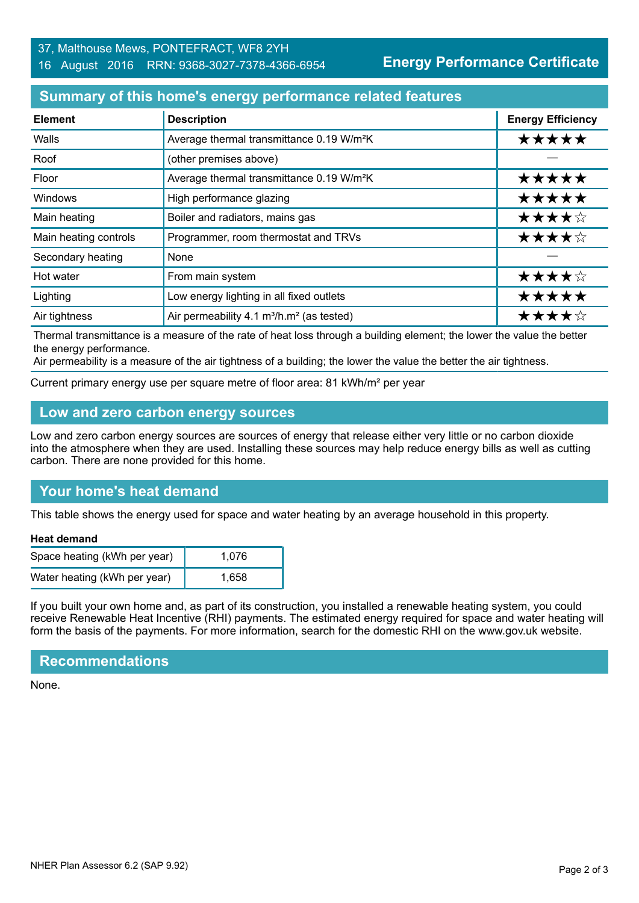## 37, Malthouse Mews, PONTEFRACT, WF8 2YH

#### 16 August 2016 RRN: 9368-3027-7378-4366-6954

**Energy Performance Certificate**

## **Summary of this home's energy performance related features**

| <b>Element</b>        | <b>Description</b>                                                | <b>Energy Efficiency</b> |
|-----------------------|-------------------------------------------------------------------|--------------------------|
| Walls                 | Average thermal transmittance 0.19 W/m <sup>2</sup> K             | *****                    |
| Roof                  | (other premises above)                                            |                          |
| Floor                 | Average thermal transmittance 0.19 W/m <sup>2</sup> K             | *****                    |
| Windows               | High performance glazing                                          | *****                    |
| Main heating          | Boiler and radiators, mains gas                                   | ★★★★☆                    |
| Main heating controls | Programmer, room thermostat and TRVs                              | ★★★★☆                    |
| Secondary heating     | None                                                              |                          |
| Hot water             | From main system                                                  | ★★★★☆                    |
| Lighting              | Low energy lighting in all fixed outlets                          | *****                    |
| Air tightness         | Air permeability 4.1 m <sup>3</sup> /h.m <sup>2</sup> (as tested) | ★★★★☆                    |

Thermal transmittance is a measure of the rate of heat loss through a building element; the lower the value the better the energy performance.

Air permeability is a measure of the air tightness of a building; the lower the value the better the air tightness.

Current primary energy use per square metre of floor area: 81 kWh/m² per year

## **Low and zero carbon energy sources**

Low and zero carbon energy sources are sources of energy that release either very little or no carbon dioxide into the atmosphere when they are used. Installing these sources may help reduce energy bills as well as cutting carbon. There are none provided for this home.

## **Your home's heat demand**

This table shows the energy used for space and water heating by an average household in this property.

#### **Heat demand**

| Space heating (kWh per year) | 1.076 |
|------------------------------|-------|
| Water heating (kWh per year) | 1.658 |

If you built your own home and, as part of its construction, you installed a renewable heating system, you could receive Renewable Heat Incentive (RHI) payments. The estimated energy required for space and water heating will form the basis of the payments. For more information, search for the domestic RHI on the www.gov.uk website.

#### **Recommendations**

None.